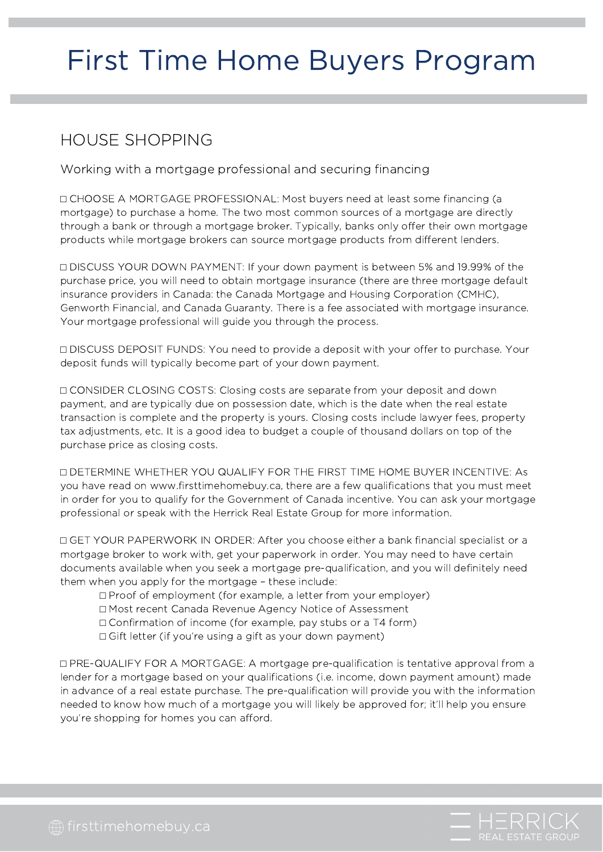# First Time Home Buyers Program

### HOUSE SHOPPING

Working with a mortgage professional and securing financing

⬜ CHOOSE A MORTGAGE PROFESSIONAL: Most buyers need at least some financing (a mortgage) to purchase a home. The two most common sources of a mortgage are directly through a bank or through a mortgage broker. Typically, banks only offer their own mortgage products while mortgage brokers can source mortgage products from different lenders.

⬜ DISCUSS YOUR DOWN PAYMENT: If your down payment is between 5% and 19.99% of the purchase price, you will need to obtain mortgage insurance (there are three mortgage default insurance providers in Canada: the Canada Mortgage and Housing Corporation (CMHC), Genworth Financial, and Canada Guaranty. There is a fee associated with mortgage insurance. Your mortgage professional will guide you through the process.

⬜ DISCUSS DEPOSIT FUNDS: You need to provide a deposit with your offer to purchase. Your deposit funds will typically become part of your down payment.

⬜ CONSIDER CLOSING COSTS: Closing costs are separate from your deposit and down payment, and are typically due on possession date, which is the date when the real estate transaction is complete and the property is yours. Closing costs include lawyer fees, property tax adjustments, etc. It is a good idea to budget a couple of thousand dollars on top of the purchase price as closing costs.

⬜ DETERMINE WHETHER YOU QUALIFY FOR THE FIRST TIME HOME BUYER INCENTIVE: As you have read on www.firsttimehomebuy.ca, there are a few qualifications that you must meet in order for you to qualify for the Government of Canada incentive. You can ask your mortgage professional or speak with the Herrick Real Estate Group for more information.

⬜ GET YOUR PAPERWORK IN ORDER: After you choose either a bank financial specialist or a mortgage broker to work with, get your paperwork in order. You may need to have certain documents available when you seek a mortgage pre-qualification, and you will definitely need them when you apply for the mortgage – these include:

- ⬜ Proof of employment (for example, a letter from your employer)
- ⬜ Most recent Canada Revenue Agency Notice of Assessment
- ⬜ Confirmation of income (for example, pay stubs or a T4 form)
- □ Gift letter (if you're using a gift as your down payment)

⬜ PRE-QUALIFY FOR A MORTGAGE: A mortgage pre-qualification is tentative approval from a lender for a mortgage based on your qualifications (i.e. income, down payment amount) made in advance of a real estate purchase. The pre-qualification will provide you with the information needed to know how much of a mortgage you will likely be approved for; it'll help you ensure you're shopping for homes you can afford.

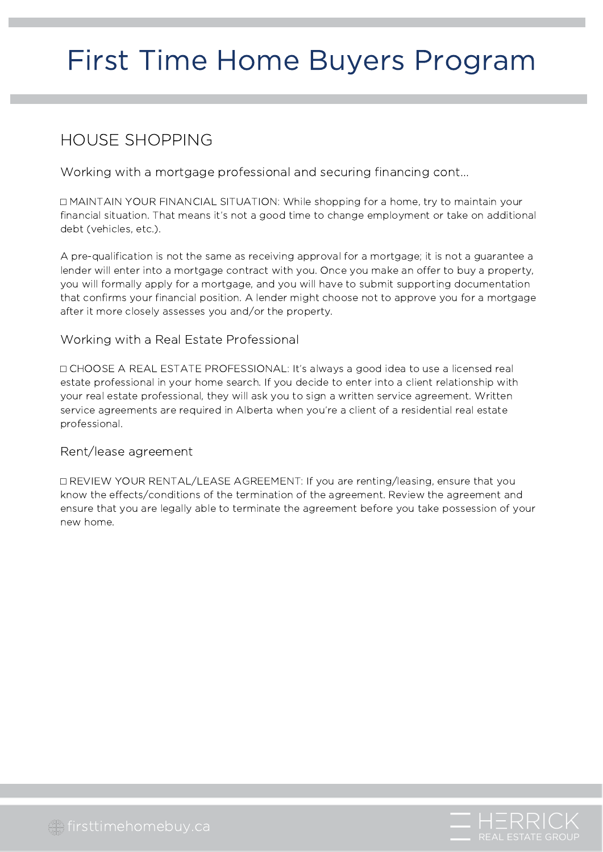# First Time Home Buyers Program

### HOUSE SHOPPING

Working with a mortgage professional and securing financing cont...

⬜ MAINTAIN YOUR FINANCIAL SITUATION: While shopping for a home, try to maintain your financial situation. That means it's not a good time to change employment or take on additional debt (vehicles, etc.).

A pre-qualification is not the same as receiving approval for a mortgage; it is not a guarantee a lender will enter into a mortgage contract with you. Once you make an offer to buy a property, you will formally apply for a mortgage, and you will have to submit supporting documentation that confirms your financial position. A lender might choose not to approve you for a mortgage after it more closely assesses you and/or the property.

#### Working with a Real Estate Professional

⬜ CHOOSE A REAL ESTATE PROFESSIONAL: It's always a good idea to use a licensed real estate professional in your home search. If you decide to enter into a client relationship with your real estate professional, they will ask you to sign a written service agreement. Written service agreements are required in Alberta when you're a client of a residential real estate professional.

#### Rent/lease agreement

⬜ REVIEW YOUR RENTAL/LEASE AGREEMENT: If you are renting/leasing, ensure that you know the effects/conditions of the termination of the agreement. Review the agreement and ensure that you are legally able to terminate the agreement before you take possession of your new home.